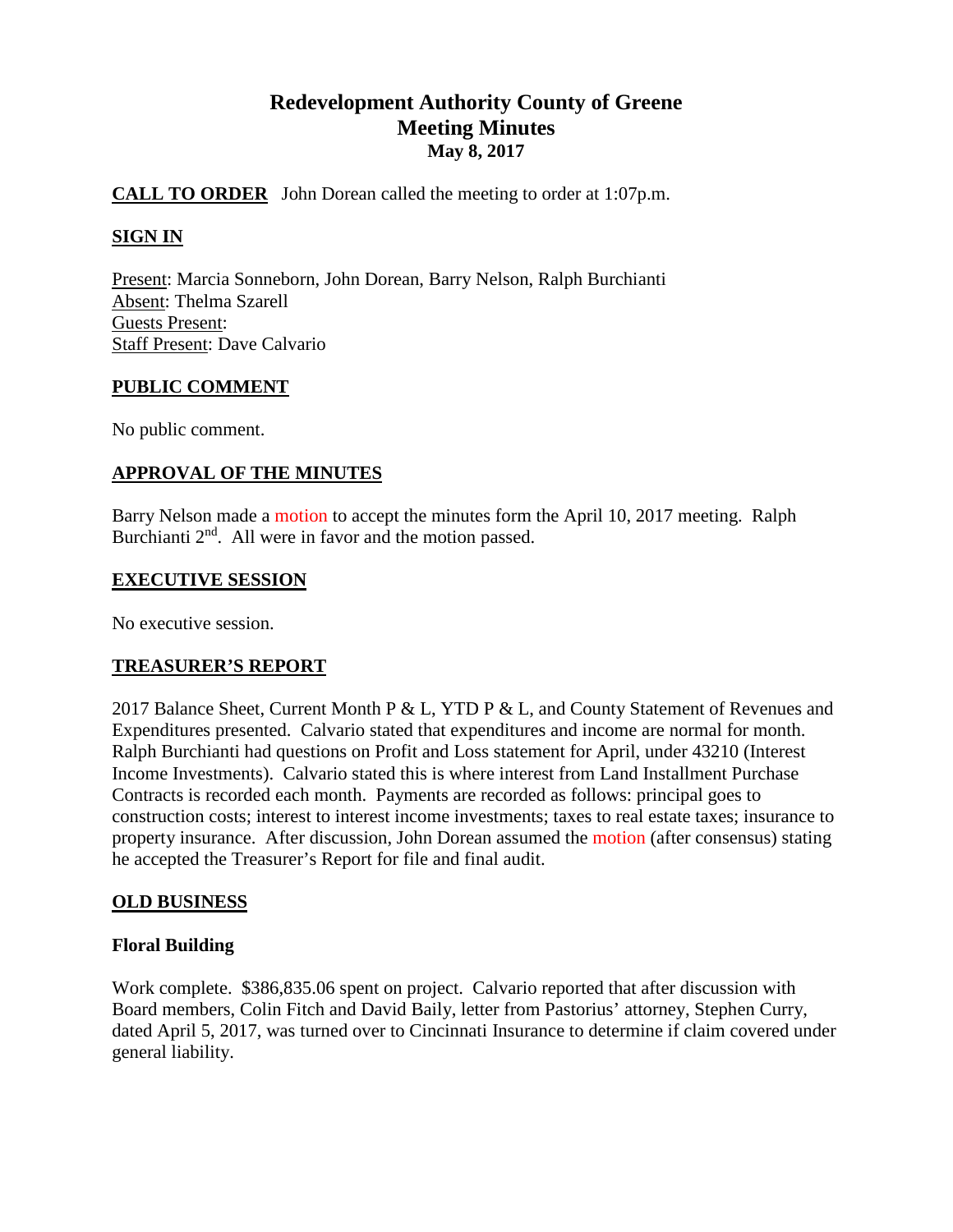# **Redevelopment Authority County of Greene Meeting Minutes May 8, 2017**

# **CALL TO ORDER** John Dorean called the meeting to order at 1:07p.m.

# **SIGN IN**

Present: Marcia Sonneborn, John Dorean, Barry Nelson, Ralph Burchianti Absent: Thelma Szarell Guests Present: Staff Present: Dave Calvario

### **PUBLIC COMMENT**

No public comment.

### **APPROVAL OF THE MINUTES**

Barry Nelson made a motion to accept the minutes form the April 10, 2017 meeting. Ralph Burchianti  $2<sup>nd</sup>$ . All were in favor and the motion passed.

#### **EXECUTIVE SESSION**

No executive session.

### **TREASURER'S REPORT**

2017 Balance Sheet, Current Month P & L, YTD P & L, and County Statement of Revenues and Expenditures presented. Calvario stated that expenditures and income are normal for month. Ralph Burchianti had questions on Profit and Loss statement for April, under 43210 (Interest Income Investments). Calvario stated this is where interest from Land Installment Purchase Contracts is recorded each month. Payments are recorded as follows: principal goes to construction costs; interest to interest income investments; taxes to real estate taxes; insurance to property insurance. After discussion, John Dorean assumed the motion (after consensus) stating he accepted the Treasurer's Report for file and final audit.

### **OLD BUSINESS**

### **Floral Building**

Work complete. \$386,835.06 spent on project. Calvario reported that after discussion with Board members, Colin Fitch and David Baily, letter from Pastorius' attorney, Stephen Curry, dated April 5, 2017, was turned over to Cincinnati Insurance to determine if claim covered under general liability.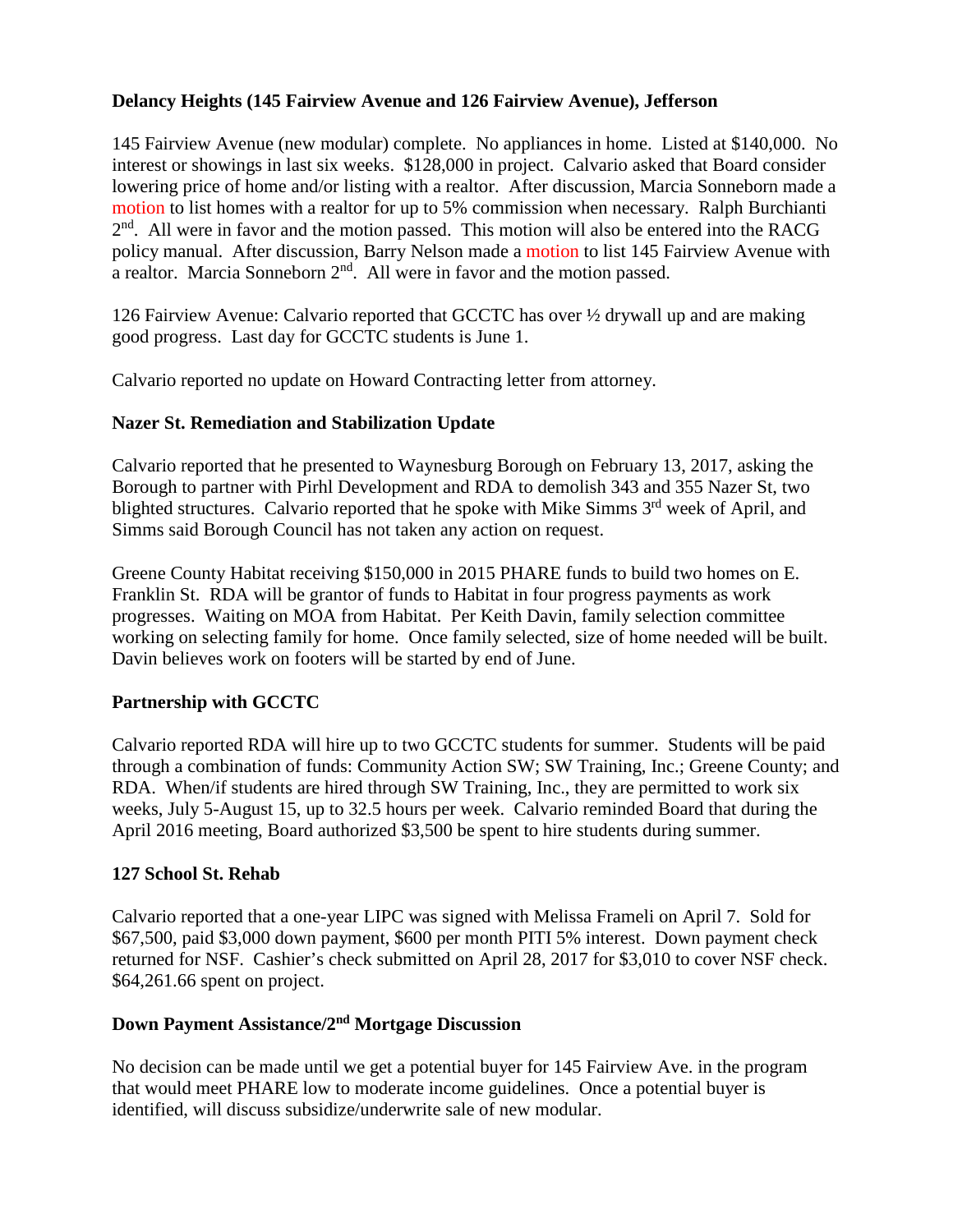# **Delancy Heights (145 Fairview Avenue and 126 Fairview Avenue), Jefferson**

145 Fairview Avenue (new modular) complete. No appliances in home. Listed at \$140,000. No interest or showings in last six weeks. \$128,000 in project. Calvario asked that Board consider lowering price of home and/or listing with a realtor. After discussion, Marcia Sonneborn made a motion to list homes with a realtor for up to 5% commission when necessary. Ralph Burchianti  $2<sup>nd</sup>$ . All were in favor and the motion passed. This motion will also be entered into the RACG policy manual. After discussion, Barry Nelson made a motion to list 145 Fairview Avenue with a realtor. Marcia Sonneborn  $2<sup>nd</sup>$ . All were in favor and the motion passed.

126 Fairview Avenue: Calvario reported that GCCTC has over ½ drywall up and are making good progress. Last day for GCCTC students is June 1.

Calvario reported no update on Howard Contracting letter from attorney.

# **Nazer St. Remediation and Stabilization Update**

Calvario reported that he presented to Waynesburg Borough on February 13, 2017, asking the Borough to partner with Pirhl Development and RDA to demolish 343 and 355 Nazer St, two blighted structures. Calvario reported that he spoke with Mike Simms 3<sup>rd</sup> week of April. and Simms said Borough Council has not taken any action on request.

Greene County Habitat receiving \$150,000 in 2015 PHARE funds to build two homes on E. Franklin St. RDA will be grantor of funds to Habitat in four progress payments as work progresses. Waiting on MOA from Habitat. Per Keith Davin, family selection committee working on selecting family for home. Once family selected, size of home needed will be built. Davin believes work on footers will be started by end of June.

# **Partnership with GCCTC**

Calvario reported RDA will hire up to two GCCTC students for summer. Students will be paid through a combination of funds: Community Action SW; SW Training, Inc.; Greene County; and RDA. When/if students are hired through SW Training, Inc., they are permitted to work six weeks, July 5-August 15, up to 32.5 hours per week. Calvario reminded Board that during the April 2016 meeting, Board authorized \$3,500 be spent to hire students during summer.

### **127 School St. Rehab**

Calvario reported that a one-year LIPC was signed with Melissa Frameli on April 7. Sold for \$67,500, paid \$3,000 down payment, \$600 per month PITI 5% interest. Down payment check returned for NSF. Cashier's check submitted on April 28, 2017 for \$3,010 to cover NSF check. \$64,261.66 spent on project.

### **Down Payment Assistance/2nd Mortgage Discussion**

No decision can be made until we get a potential buyer for 145 Fairview Ave. in the program that would meet PHARE low to moderate income guidelines. Once a potential buyer is identified, will discuss subsidize/underwrite sale of new modular.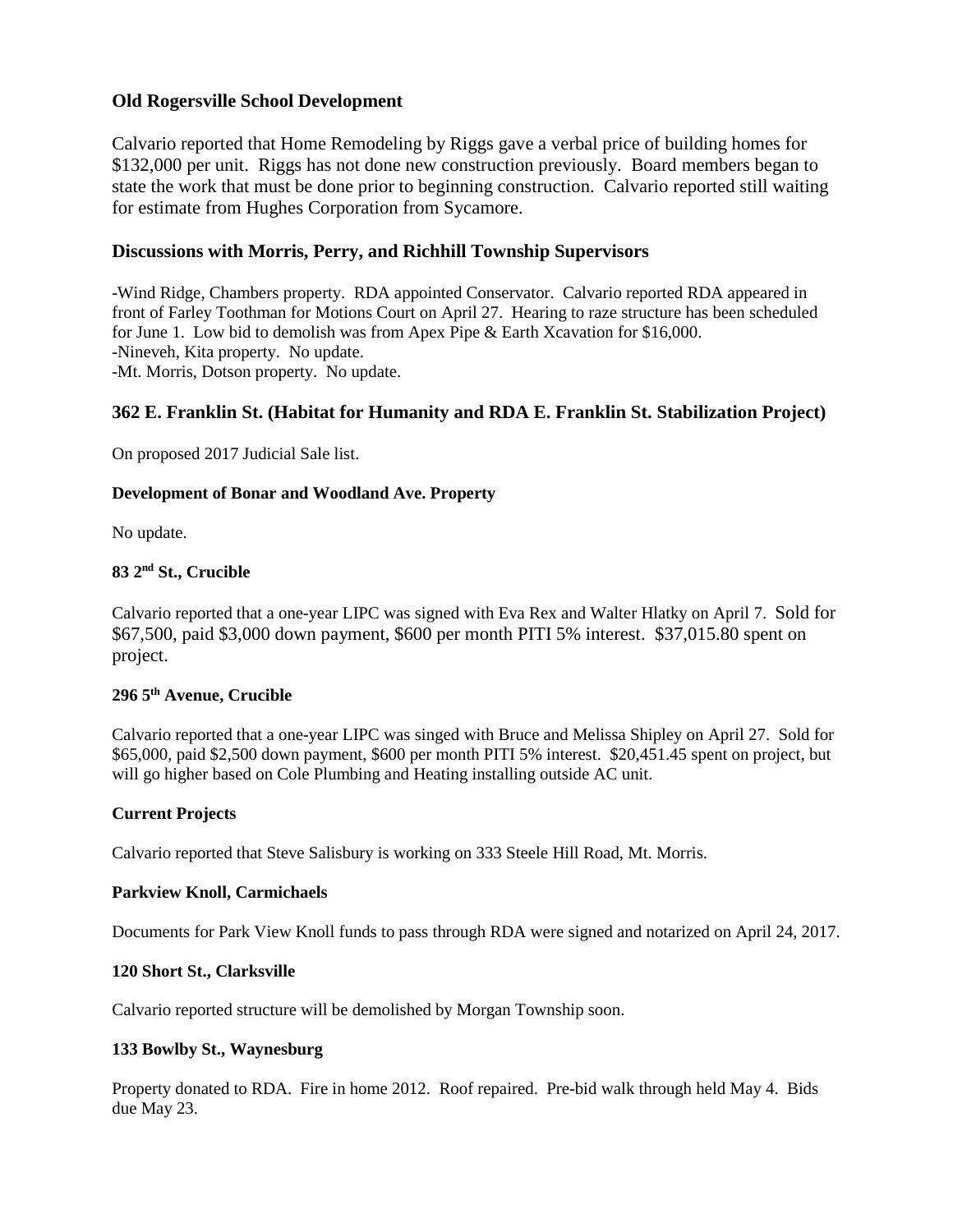### **Old Rogersville School Development**

Calvario reported that Home Remodeling by Riggs gave a verbal price of building homes for \$132,000 per unit. Riggs has not done new construction previously. Board members began to state the work that must be done prior to beginning construction. Calvario reported still waiting for estimate from Hughes Corporation from Sycamore.

### **Discussions with Morris, Perry, and Richhill Township Supervisors**

-Wind Ridge, Chambers property. RDA appointed Conservator. Calvario reported RDA appeared in front of Farley Toothman for Motions Court on April 27. Hearing to raze structure has been scheduled for June 1. Low bid to demolish was from Apex Pipe & Earth Xcavation for \$16,000. -Nineveh, Kita property. No update. -Mt. Morris, Dotson property. No update.

# **362 E. Franklin St. (Habitat for Humanity and RDA E. Franklin St. Stabilization Project)**

On proposed 2017 Judicial Sale list.

#### **Development of Bonar and Woodland Ave. Property**

No update.

#### **83 2nd St., Crucible**

Calvario reported that a one-year LIPC was signed with Eva Rex and Walter Hlatky on April 7. Sold for \$67,500, paid \$3,000 down payment, \$600 per month PITI 5% interest. \$37,015.80 spent on project.

# **296 5th Avenue, Crucible**

Calvario reported that a one-year LIPC was singed with Bruce and Melissa Shipley on April 27. Sold for \$65,000, paid \$2,500 down payment, \$600 per month PITI 5% interest. \$20,451.45 spent on project, but will go higher based on Cole Plumbing and Heating installing outside AC unit.

### **Current Projects**

Calvario reported that Steve Salisbury is working on 333 Steele Hill Road, Mt. Morris.

#### **Parkview Knoll, Carmichaels**

Documents for Park View Knoll funds to pass through RDA were signed and notarized on April 24, 2017.

#### **120 Short St., Clarksville**

Calvario reported structure will be demolished by Morgan Township soon.

#### **133 Bowlby St., Waynesburg**

Property donated to RDA. Fire in home 2012. Roof repaired. Pre-bid walk through held May 4. Bids due May 23.